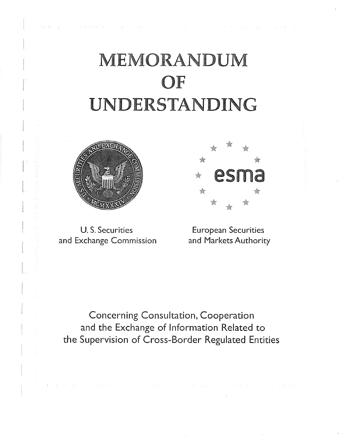.<br>The China Pack Chap Text Concert of

#### s a consumer a

# **MEMORANDUM OF**  UNDERSTANDING



and Exchange Commission and Markets Authority



U.S. Securities **European Securities** 

Concerning Consultation, Cooperation and the Exchange of Information Related to the Supervision of Cross-Border Regulated Entities

The collection of the March and provided a provided and the Control of the Control of the Control of the Control of the American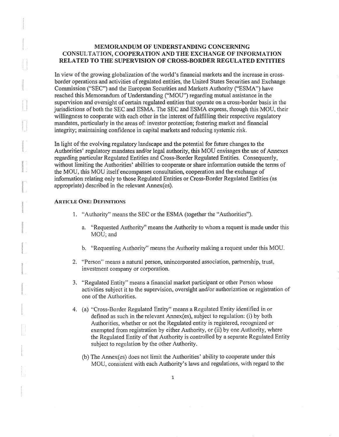## MEMORANDUM OF UNDERSTANDING CONCERNING CONSULTATION, COOPERATION AND THE EXCHANGE OF INFORMATION RELATED TO THE SUPERVISION OF CROSS-BORDER REGULATED ENTITIES

In view of the growing globalization of the world's financial markets and the increase in crossborder operations and activities ofregulated entities, the United States Securities and Exchange Commission ("SEC") and the European Securities and Markets Authority ("ESMA") have reached this Memorandum of Understanding ("MOU") regarding mutual assistance in the supervision and oversight of certain regulated entities that operate on a cross-border basis in the jurisdictions of both the SEC and ESMA. The SEC and ESMA express, through this MOU, their willingness to cooperate with each other in the interest of fulfilling their respective regulatory mandates, particularly in the areas of: investor protection; fostering market and financial integrity; maintaining confidence in capital markets and reducing systemic risk.

In light of the evolving regulatory landscape and the potential for future changes to the Authorities' regulatory mandates and/or legal authority, this MOU envisages the use of Annexes regarding particular Regulated Entities and Cross-Border Regulated Entities. Consequently, without limiting the Authorities' abilities to cooperate or share information outside the terms of the MOU, this MOU itself encompasses consultation, cooperation and the exchange of information relating only to those Regulated Entities or Cross-Border Regulated Entities (as appropriate) described in the relevant Annex(es).

## ARTICLE ONE: DEFINITIONS

- 1. "Authority" means the SEC or the ESMA (together the "Authorities").
	- a. "Requested Authority" means the Authority to whom a request is made under this MOU; and
	- b. "Requesting Authority" means the Authority making a request under this MOU.
- 2. "Person" means a natural person, unincorporated association, partnership, trust, investment company or corporation.
- 3. "Regulated Entity" means a financial market participant or other Person whose activities subject it to the supervision, oversight and/or authorization or registration of one of the Authorities.
- 4. (a) "Cross-Border Regulated Entity" means a Regulated Entity identified in or defined as such in the relevant Annex(es), subject to regulation: (i) by both Authorities, whether or not the Regulated entity is registered, recognized or exempted from registration by either Authority, or (ii) by one Authority, where the Regulated Entity of that Authority is controlled by a separate Regulated Entity subject to regulation by the other Authority.
	- (b) The Annex(es) does not limit the Authorities' ability to cooperate under this MOU, consistent with each Authority's laws and regulations, with regard to the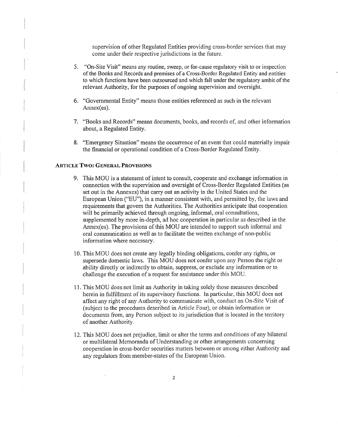supervision of other Regulated Entities providing cross~border services that may come under their respective jurisdictions in the future.

- 5. "On-Site Visit" means any routine, sweep, or for-cause regulatory visit to or inspection of the Books and Records and premises of a Cross-Border Regulated Entity and entities to which functions have been outsourced and which fall under the regulatory ambit ofthe relevant Authority, for the purposes of ongoing supervision and oversight.
- 6. "Governmental Entity" means those entities referenced as such in the relevant Annex(es).
- 7. "Books and Records" means documents, books, and records of, and other information about, a Regulated Entity.
- 8. "Emergency Situation" means the occurrence of an event that could materially impair the financial or operational condition of a Cross-Border Regulated Entity.

#### ARTICLE **Two:** GENERAL PROVISIONS

- 9. This MOU is a statement of intent to consult, cooperate and exchange information in connection with the supervision and oversight of Cross-Border Regulated Entities (as set out in the Annexes) that carry out an activity in the United States and the European Union ("EU"), in a manner consistent with, and permitted by, the laws and requirements that govern the Authorities. The Authorities anticipate that cooperation will be primarily achieved through ongoing, informal, oral consultations, supplemented by more in-depth, ad hoc cooperation in particular as described in the Annex(es). The provisions of this MOU are intended to support such informal and oral communication as well as to facilitate the written exchange of non-public information where necessary.
- 10. This MOU does not create any legally binding obligations, confer any rights, or supersede domestic laws. This MOU does not confer upon any Person the right or ability directly or indirectly to obtain, suppress, or exclude any information or to challenge the execution of a request for assistance under this MOU.
- 11. This MOU does not limit an Authority in taking solely those measures described herein in fulfillment of its supervisory functions. In particular, this MOU does not affect any right of any Authority to conmmnicate with, conduct an On-Site Visit of (subject to the procedures described in Article Four), or obtain information or documents from, any Person subject to its jurisdiction that is located in the territory of another Authority.
- 12. This MOU does not prejudice, limit or alter the terms and conditions of any bilateral or multilateral Memoranda of Understanding or other arrangements concerning cooperation in cross-border securities matters between or among either Authority and any regulators from member-states of the European Union.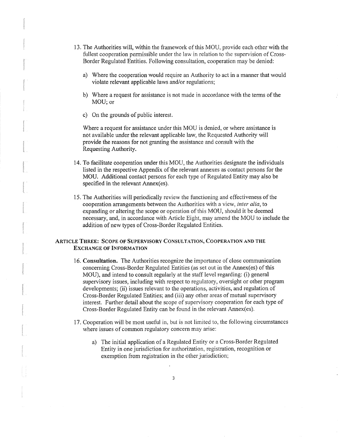- 13. The Authorities will, within the framework of this MOU, provide each other with the fullest cooperation permissible under the law in relation to the supervision of Cross-Border Regulated Entities. Following consultation, cooperation may be denied:
	- a) Where the cooperation would require an Authority to act in a manner that would violate relevant applicable laws and/or regulations;
	- b) Where a request for assistance is not made in accordance with the terms of the MOU; or
	- c) On the grounds of public interest.

Where a request for assistance under this MOU is denied, or where assistance is not available under the relevant applicable law, the Requested Authority will provide the reasons for not granting the assistance and consult with the Requesting Authority.

- 14. To facilitate cooperation under this MOU, the Authorities designate the individuals listed in the respective Appendix of the relevant annexes as contact persons for the MOU. Additional contact persons for each type of Regulated Entity may also be specified in the relevant Annex(es).
- 15. The Authorities will periodically review the functioning and effectiveness of the cooperation arrangements between the Authorities with a view, *inter alia,* to expanding or altering the scope or operation of this MOU, should it be deemed necessary, and, in accordance with Article Eight, may amend the MOU to include the addition of new types of Cross-Border Regulated Entities.

#### ARTICLE THREE: SCOPE OF SUPERVISORY CONSULTATION, COOPERATION AND THE EXCHANGE OF INFORMATION

- 16. Consultation. The Authorities recognize the importance of close communication concerning Cross-Border Regulated Entities (as set out in the Annex(es) of this MOU), and intend to consult regularly at the staff level regarding: (i) general supervisory issues, including with respect to regulatory, oversight or other program developments; {ii) issues relevant to the operations, activities, and regulation of Cross-Border Regulated Entities; and (iii) any other areas of mutual supervisory interest. Further detail about the scope of supervisory cooperation for each type of Cross-Border Regulated Entity can be found in the relevant Annex(es).
- 17. Cooperation will be most useful in, but is not limited to, the following circumstances where issues of common regulatory concern may arise:
	- a) The initial application of a Regulated Entity or a Cross-Border Regulated Entity in one jurisdiction for authorization, registration, recognition or exemption from registration in the other jurisdiction;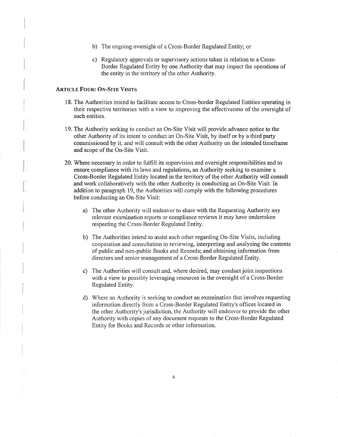- b) The ongoing oversight of a Cross-Border Regulated Entity; or
- c) Regulatory approvals or supervisory actions taken in relation to a Cross-Border Regulated Entity by one Authority that may impact the operations of the entity in the territory of the other Authority.

## ARTICLE FOUR: ON-SITE VISITS

- 18. The Authorities intend to facilitate access to Cross-border Regulated Entities operating in their respective territories with a view to improving the effectiveness of the oversight of such entities.
- 19. The Authority seeking to conduct an On-Site Visit will provide advance notice to the other Authority of its intent to conduct an On-Site Visit, by itself or by a third party commissioned by it, and will consult with the other Authority on the intended timeframe and scope of the On-Site Visit.
- 20. Where necessary in order to fulfill its supervision and oversight responsibilities and to ensure compliance with its laws and regulations, an Authority seeking to examine a Cross-Border Regulated Entity located in the territory of the other Authority will consult and work collaboratively with the other Authority in conducting an On-Site Visit. In addition to paragraph 19, the Authorities will comply with the following procedures before conducting an On-Site Visit:
	- a) The other Authority will endeavor to share with the Requesting Authority any relevant examination reports or compliance reviews it may have undertaken respecting the Cross~Border Regulated Entity.
	- b) The Authorities intend to assist each other regarding On-Site Visits, including cooperation and consultation in reviewing, interpreting and analyzing the contents of public and non-public Books and Records; and obtaining information from directors and senior management of a Cross-Border Regulated Entity.
	- c) The Authorities will consult and, where desired, may conduct joint inspections with a view to possibly leveraging resources in the oversight of a Cross-Border Regulated Entity.
	- d) Where an Authority is seeking to conduct an examination that involves requesting information directly from a Cross-Border Regulated Entity's offices located in the other Authority's jurisdiction, the Authority will endeavor to provide the other Authority with copies of any document requests to the Cross-Border Regulated Entity for Books and Records or other information.

4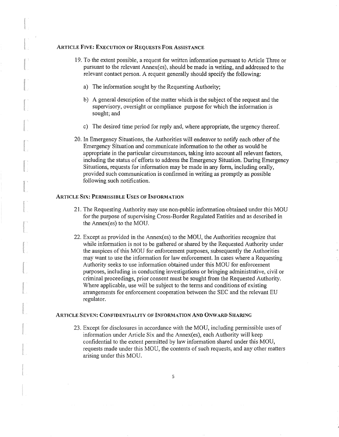## ARTICLE FIVE: EXECUTION OF REQUESTS FOR ASSISTANCE 19. To the extent possible, a request for written information pursuant to Article Three or pursuant to the relevant Annex(es), should be made in writing, and addressed to the relevant contact person. A request generally should specify the following: a) The information sought by the Requesting Authority; b) A general description of the matter which is the subject of the request and the supervisory, oversight or compliance purpose for which the information is sought; and c) The desired time period for reply and, where appropriate, the urgency thereof. 20. In Emergency Situations, the Authorities will endeavor to notify each other of the Emergency Situation and communicate information to the other as would be appropriate in the particular circumstances, taking into account all relevant factors, including the status of efforts to address the Emergency Situation. During Emergency Situations, requests for information may be made in any form, including orally, provided such communication is confirmed in writing as promptly as possible following such notification. ARTICLE SIX: PERMISSIBLE USES OF INFORMATION 21. The Requesting Authority may use non-public information obtained under this MOU for the purpose of supervising Cross-Border Regulated Entities and as described in the Annex(es) to the MOU. 22. Except as provided in the Annex(es) to the MOU, the Authorities recognize that while information is not to be gathered or shared by the Requested Authority under the auspices of this MOU for enforcement purposes, subsequently the Authorities may want to use the infonnation for law enforcement. In cases where a Requesting Authority seeks to use information obtained under this MOU for enforcement purposes, including in conducting investigations or bringing administrative, civil or criminal proceedings, prior consent must be sought from the Requested Authority. Where applicable, use will be subject to the terms and conditions of existing arrangements for enforcement cooperation between the SEC and the relevant EU regulator. ARTICLE SEVEN: CONFIDENTIALITY OF INFORMATION AND ONWARD SHARING 23. Except for disclosures in accordance with the MOU, including permissible uses of information under Article Six and the Annex(es), each Authority will keep

confidential to the extent permitted by law information shared under this MOU, requests made under this MOU, the contents of such requests, and any other matters arising under this MOU.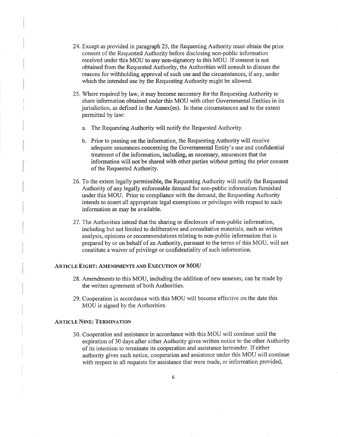- 24. Except as provided in paragraph 25, the Requesting Authority must obtain the prior consent of the Requested Authority before disclosing non-public information received under this MOU to any non-signatory to this MOU. If consent is not obtained from the Requested Authority, the Authorities \:vill consult to discuss the reasons for withholding approval of such use and the circumstances, if any, under which the intended use by the Requesting Authority might be allowed.
- 25. Where required by law, it may become necessary for the Requesting Authority to share information obtained under this MOU with other Governmental Entities in its jurisdiction, as defined in the Annex(es). In these circumstances and to the extent permitted by law:
	- a. The Requesting Authority will notify the Requested Authority.
	- b. Prior to passing on the information, the Requesting Authority will receive adequate assurances concerning the Governmental Entity's use and confidential treatment of the information, including, as necessary, assurances that the information \:vill not be shared with other parties without getting the prior consent of the Requested Authority.
- 26. To the extent legally permissible, the Requesting Authority will notify the Requested Authority of any legally enforceable demand for non-public information furnished under this MOU. Prior to compliance with the demand, the Requesting Authority intends to assert all appropriate legal exemptions or privileges with respect to such information as may be available.
- 27. The Authorities intend that the sharing or disclosure of non-public information, including but not limited to deliberative and consultative materials, such as written analysis, opinions or recommendations relating to non-public information that is prepared by or on behalf of an Authority, pursuant to the terms of this MOU, will not constitute a waiver of privilege or confidentiality of such information.

#### ARTICLE EIGHT: AMENDMENTS AND EXECUTION OF MOU

- 28. Amendments to this MOU, including the addition of new annexes, can be made by the written agreement of both Authorities.
- 29. Cooperation in accordance with this MOU \\ill become effective on the date this MOU is signed by the Authorities.

#### ARTICLE NINE: TERMINATION

30. Cooperation and assistance in accordance with this MOU will continue until the expiration of 30 days after either Authority gives written notice to the other Authority of its intention to terminate its cooperation and assistance hereunder. If either authority gives such notice, cooperation and assistance under this MOU will continue with respect to all requests for assistance that were made, or information provided,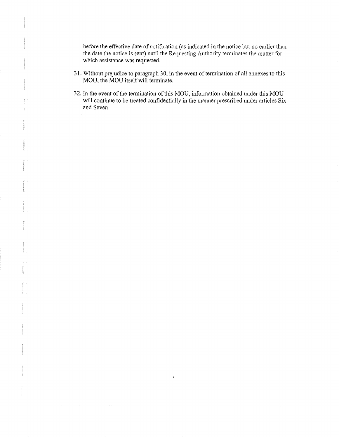before the effective date of notification (as indicated in the notice but no earlier than the date the notice is sent) until the Requesting Authority terminates the matter for which assistance was requested.

- 31. Without prejudice to paragraph 30, in the event of termination of all annexes to this MOU, the MOU itself will terminate.
- 32. In the event of the termination of this MOU, information obtained under this MOU will continue to be treated confidentially in the manner prescribed under articles Six and Seven.

 $\hat{\mathcal{L}}$ 

7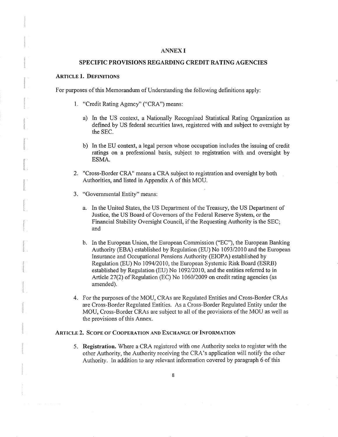#### ANNEX I

#### SPECIFIC PROVISIONS REGARDING CREDIT RATING AGENCIES

#### ARTICLE 1. DEFINITIONS

For purposes of this Memorandum of Understanding the following definitions apply:

- 1. "Credit Rating Agency" ("CRA") means:
	- a) In the US context, a Nationally Recognized Statistical Rating Organization as defined by US federal securities laws, registered with and subject to oversight by the SEC.
	- b) In the EU context, a legal person whose occupation includes the issuing of credit ratings on a professional basis, subject to registration with and oversight by ESMA.
- 2. "Cross-Border CRA" means a CRA subject to registration and oversight by both Authorities, and listed in Appendix A of this MOU.
- 3. "Governmental Entity" means:
	- a. In the United States, the US Department of the Treasury, the US Department of Justice, the US Board of Govemors of the Federal Reserve System, or the Financial Stability Oversight Council, if the Requesting Authority is the SEC; and
	- b. In the European Union, the European Commission ("EC"), the European Banking Authority (EBA) established by Regulation (EU) No 1093/2010 and the European Insurance and Occupational Pensions Authority (EIOPA) established by Regulation (EU) No 1094/2010, the European Systemic Risk Board (ESRB) established by Regulation (EU) No 1092/2010, and the entities referred to in Article 27(2) of Regulation (EC) No 1060/2009 on credit rating agencies (as amended).
- 4. For the purposes of the MOU, CRAs are Regulated Entities and Cross-Border CRAs are Cross-Border Regulated Entities. As a Cross-Border Regulated Entity under the MOU, Cross-Border CRAs are subject to all of the provisions of the MOU as well as the provisions of this Annex.

#### ARTICLE 2. SCOPE OF COOPERATION AND EXCHANGE OF INFORMATION

5. Registration. Where a CRA registered with one Authority seeks to register with the other Authority, the Authority receiving the CRA's application will notify the other Authority. In addition to any relevant information covered by paragraph 6 of this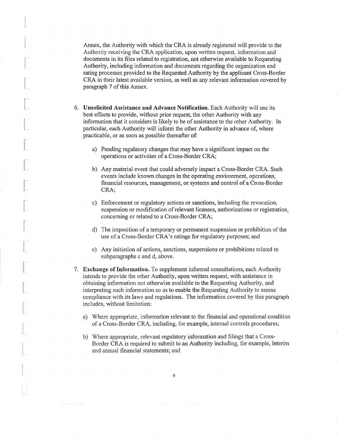Annex, the Authority with which the CRA is already registered will provide to the Authority receiving the CRA application, upon written request, infornmtion and documents in its files related to registration, not otherwise available to Requesting Authority, including information and documents regarding the organization and rating processes provided to the Requested Authority by the applicant Cross-Border CRA in their latest available version, as well as any relevant information covered by paragraph 7 of this Annex.

- 6. Unsolicited Assistance and Advance Notification. Each Authority will use its best efforts to provide, without prior request, the other Authority with any information that it considers is likely to be of assistance to the other Authority. In particular, each Authority will inform the other Authority in advance of, where practicable, or as soon as possible thereafter of:
	- a) Pending regulatory changes that may have a significant impact on the operations or activities of a Cross-Border CRA;
	- b) Any material event that could adversely impact a Cross-Border CRA. Such events include known changes in the operating environment, operations, financial resources, management, or systems and control of a Cross-Border CRA;
	- c) Enforcement or regulatory actions or sanctions, including the revocation, suspension or modification of relevant licenses, authorizations or registration, concerning or related to a Cross-Border CRA;
	- d) The imposition of a temporary or permanent suspension or prohibition of the use of a Cross-Border CRA's ratings for regulatory purposes; and
	- e) Any initiation of actions, sanctions, suspensions or prohibitions related to subparagraphs c and d, above.
- 7. Exchange of Information. To supplement informal consultations, each Authority intends to provide the other Authority, upon written request, with assistance in obtaining information not otherwise available to the Requesting Authority, and interpreting such information so as to enable the Requesting Authority to assess compliance with its laws and regulations. The information covered by this paragraph includes, without limitation:
	- a) Where appropriate, information relevant to the financial and operational condition of a Cross-Border CRA, including, for example, internal controls procedures;
	- b) Where appropriate, relevant regulatory information and filings that a Cross-Border CRA is required to submit to an Authority including, for example, interim and annual financial statements; and

9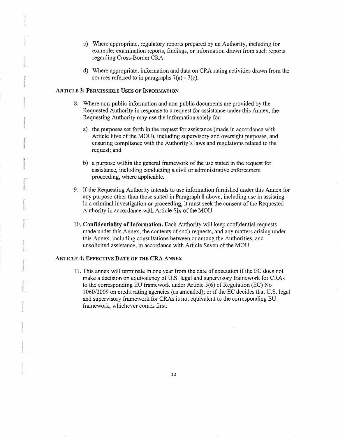- c) Where appropriate, regulatory reports prepared by an Authority, including for example: examination reports, findings, or information drawn from such reports regarding Cross-Border CRA.
- d) Where appropriate, information and data on CRA rating activities drawn from the sources referred to in paragraphs  $7(a) - 7(c)$ .

#### ARTICLE 3: PERMISSIBLE USES OF INFORMATION

- 8. Where non-public information and non-public documents are provided by the Requested Authority in response to a request for assistance under this Annex, the Requesting Authority may use the information solely for:
	- a) the purposes set forth in the request for assistance (made in accordance with Article Five of the MOU), including supervisory and oversight purposes, and ensuring compliance with the Authority's laws and regulations related to the request; and
	- b) a purpose within the general framework of the use stated in the request for assistance, including conducting a civil or administrative enforcement proceeding, where applicable.
- 9. If the Requesting Authority intends to use information furnished under this Annex for any purpose other than those stated in Paragraph 8 above, including use in assisting in a criminal investigation or proceeding, it must seek the consent of the Requested Authority in accordance with Article Six of the MOU.
- 10. Confidentiality of Information. Each Authority will keep confidential requests made under this Annex, the contents of such requests, and any matters arising under this Annex, including consultations between or among the Authorities, and unsolicited assistance, in accordance with Article Seven of the MOU.

#### ARTICLE 4: EFFECTIVE DATE OF THE CRA ANNEX

11. This annex will terminate in one year from the date of execution if the EC does not make a decision on equivalency of U.S. legal and supervisory framework for CRAs to the corresponding EU framework under Article 5(6) of Regulation (EC) No 1060/2009 on credit rating agencies (as amended); or ifthe EC decides that U.S. legal and supervisory framework for CRAs is not equivalent to the corresponding EU framework, whichever comes first.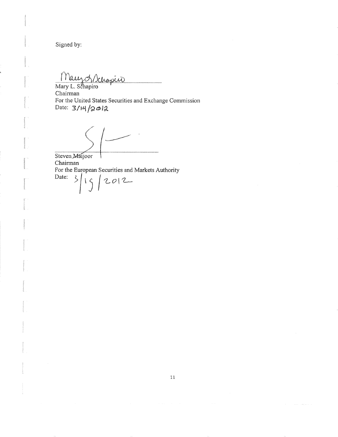Signed by:

Maurch Schanier

 $\frac{1}{2}$  Mary L. Schapiro Chairman For the United States Securities and Exchange Commission Date:  $3/14/2012$ 

*(/' (\_* .

Steven Maijoor Chairman For the European Securities and Markets Authority<br>Date:  $\frac{1}{2}$   $\begin{vmatrix} 1 & 1 \\ 1 & 1 \end{vmatrix}$   $\begin{vmatrix} 2 & 0 \\ 1 & 1 \end{vmatrix}$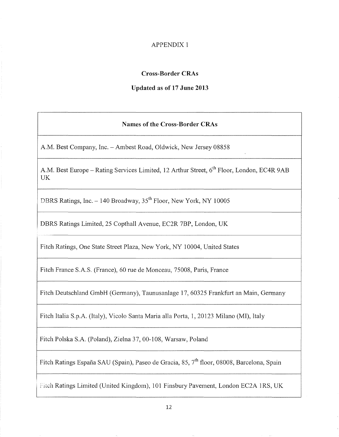## APPENDIX 1

## **Cross-Border CRAs**

## **Updated as of 17 June 2013**

## **Names of the Cross-Border CRAs**

A.M. Best Company, Inc.- Ambest Road, Oldwick, New Jersey 08858

A.M. Best Europe – Rating Services Limited, 12 Arthur Street, 6<sup>th</sup> Floor, London, EC4R 9AB UK

DBRS Ratings, Inc. - 140 Broadway, 35<sup>th</sup> Floor, New York, NY 10005

DBRS Ratings Limited, 25 Copthall Avenue, EC2R 7BP, London, UK

Fitch Ratings, One State Street Plaza, New York, NY 10004, United States

Fitch France S.A.S. (France), 60 rue de Monceau, 75008, Paris, France

Fitch Deutschland GmbH (Germany), Taunusanlage 17, 60325 Frankfurt an Main, Germany

Fitch Italia S.p.A. (Italy), Vicolo Santa Maria alia Porta, 1, 20123 Milano (MI), Italy

Fitch Polska S.A. (Poland), Zielna 37, 00-108, Warsaw, Poland

Fitch Ratings España SAU (Spain), Paseo de Gracia, 85, 7<sup>th</sup> floor, 08008, Barcelona, Spain

Fitch Ratings Limited (United Kingdom), 101 Finsbury Pavement, London EC2A 1RS, UK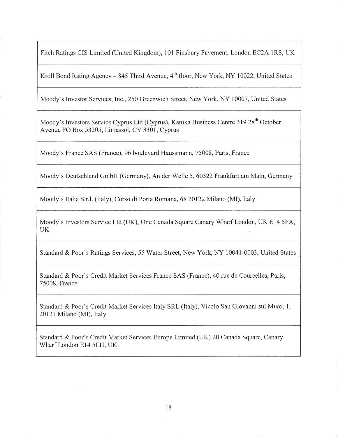Fitch Ratings CIS Limited (United Kingdom), 101 Finsbury Pavement, London EC2A 1RS, UK

Kroll Bond Rating Agency – 845 Third Avenue, 4<sup>th</sup> floor, New York, NY 10022, United States

Moody's Investor Services, Inc., 250 Greenwich Street, New York, NY 10007, United States

Moody's Investors Service Cyprus Ltd (Cyprus), Kanika Business Centre 319 28<sup>th</sup> October Avenue PO Box 53205, Limassol, CY 3301, Cyprus

Moody's France SAS (France), 96 boulevard Haussmann, 75008, Paris, France

Moody's Deutschland GmbH (Germany), An der Welle 5, 60322 Frankfurt am Main, Germany

Moody's Italia S.r.l. (Italy), Corso di Porta Romana, 68 20122 Milano (MI), Italy

Moody's Investors Service Ltd (UK), One Canada Square Canary Wharf London, UK El4 5FA, UK

Standard & Poor's Ratings Services, 55 Water Street, New York, NY 10041-0003, United States

Standard & Poor's Credit Market Services France SAS (France), 40 rue de Courcelles, Paris, 75008, France

Standard & Poor's Credit Market Services Italy SRL (Italy), Vicolo San Giovanni sui Muro, 1, 20121 Milano (MI), Italy

Standard & Poor's Credit Market Services Europe Limited (UK) 20 Canada Square, Canary Wharf London E14 5LH, UK